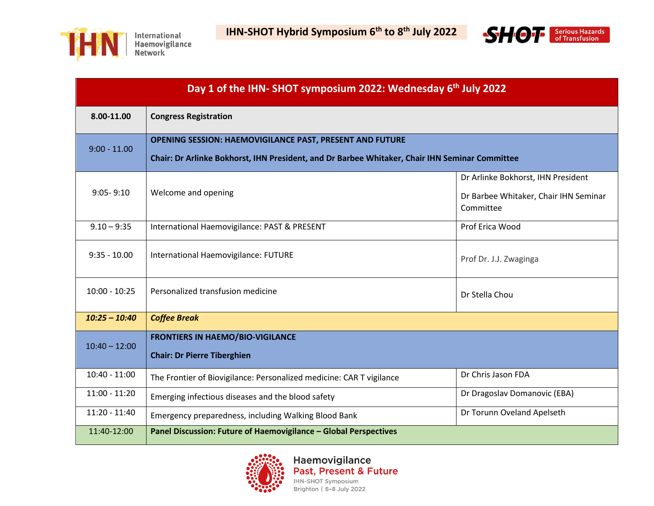



| Day 1 of the IHN-SHOT symposium 2022: Wednesday 6 <sup>th</sup> July 2022 |                                                                                                                                                                   |                                                                                          |  |  |
|---------------------------------------------------------------------------|-------------------------------------------------------------------------------------------------------------------------------------------------------------------|------------------------------------------------------------------------------------------|--|--|
| 8.00-11.00                                                                | <b>Congress Registration</b>                                                                                                                                      |                                                                                          |  |  |
| $9:00 - 11.00$                                                            | <b>OPENING SESSION: HAEMOVIGILANCE PAST, PRESENT AND FUTURE</b><br>Chair: Dr Arlinke Bokhorst, IHN President, and Dr Barbee Whitaker, Chair IHN Seminar Committee |                                                                                          |  |  |
| $9:05 - 9:10$                                                             | Welcome and opening                                                                                                                                               | Dr Arlinke Bokhorst, IHN President<br>Dr Barbee Whitaker, Chair IHN Seminar<br>Committee |  |  |
| $9.10 - 9:35$                                                             | International Haemovigilance: PAST & PRESENT                                                                                                                      | Prof Erica Wood                                                                          |  |  |
| $9:35 - 10.00$                                                            | International Haemovigilance: FUTURE                                                                                                                              | Prof Dr. J.J. Zwaginga                                                                   |  |  |
| $10:00 - 10:25$                                                           | Personalized transfusion medicine                                                                                                                                 | Dr Stella Chou                                                                           |  |  |
| $10:25 - 10:40$                                                           | <b>Coffee Break</b>                                                                                                                                               |                                                                                          |  |  |
| $10:40 - 12:00$                                                           | <b>FRONTIERS IN HAEMO/BIO-VIGILANCE</b><br><b>Chair: Dr Pierre Tiberghien</b>                                                                                     |                                                                                          |  |  |
| $10:40 - 11:00$                                                           | The Frontier of Biovigilance: Personalized medicine: CAR T vigilance                                                                                              | Dr Chris Jason FDA                                                                       |  |  |
| $11:00 - 11:20$                                                           | Emerging infectious diseases and the blood safety                                                                                                                 | Dr Dragoslav Domanovic (EBA)                                                             |  |  |
| $11:20 - 11:40$                                                           | Emergency preparedness, including Walking Blood Bank                                                                                                              | Dr Torunn Oveland Apelseth                                                               |  |  |
| 11:40-12:00                                                               | Panel Discussion: Future of Haemovigilance - Global Perspectives                                                                                                  |                                                                                          |  |  |

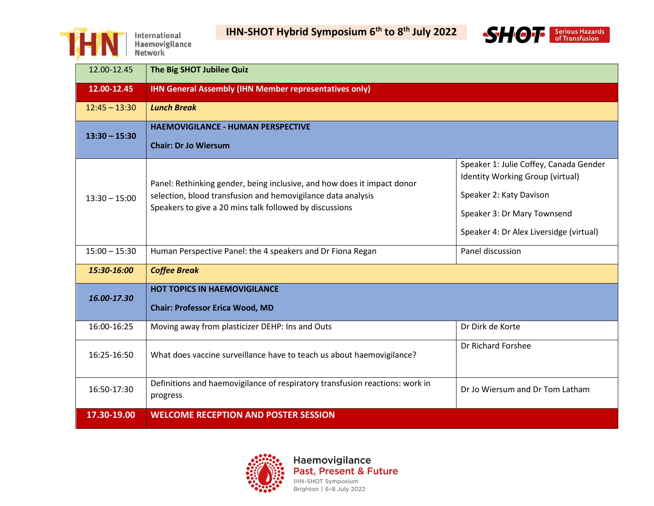

**IHN-SHOT Hybrid Symposium 6th to 8th July 2022**



| 12.00-12.45     | The Big SHOT Jubilee Quiz                                                                                                                                                                          |                                                                                                                                                                                 |
|-----------------|----------------------------------------------------------------------------------------------------------------------------------------------------------------------------------------------------|---------------------------------------------------------------------------------------------------------------------------------------------------------------------------------|
| 12.00-12.45     | <b>IHN General Assembly (IHN Member representatives only)</b>                                                                                                                                      |                                                                                                                                                                                 |
| $12:45 - 13:30$ | <b>Lunch Break</b>                                                                                                                                                                                 |                                                                                                                                                                                 |
| $13:30 - 15:30$ | <b>HAEMOVIGILANCE - HUMAN PERSPECTIVE</b><br><b>Chair: Dr Jo Wiersum</b>                                                                                                                           |                                                                                                                                                                                 |
| $13:30 - 15:00$ | Panel: Rethinking gender, being inclusive, and how does it impact donor<br>selection, blood transfusion and hemovigilance data analysis<br>Speakers to give a 20 mins talk followed by discussions | Speaker 1: Julie Coffey, Canada Gender<br>Identity Working Group (virtual)<br>Speaker 2: Katy Davison<br>Speaker 3: Dr Mary Townsend<br>Speaker 4: Dr Alex Liversidge (virtual) |
| $15:00 - 15:30$ | Human Perspective Panel: the 4 speakers and Dr Fiona Regan                                                                                                                                         | Panel discussion                                                                                                                                                                |
| 15:30-16:00     | <b>Coffee Break</b>                                                                                                                                                                                |                                                                                                                                                                                 |
| 16.00-17.30     | <b>HOT TOPICS IN HAEMOVIGILANCE</b><br><b>Chair: Professor Erica Wood, MD</b>                                                                                                                      |                                                                                                                                                                                 |
| 16:00-16:25     | Moving away from plasticizer DEHP: Ins and Outs                                                                                                                                                    | Dr Dirk de Korte                                                                                                                                                                |
| 16:25-16:50     | What does vaccine surveillance have to teach us about haemovigilance?                                                                                                                              | Dr Richard Forshee                                                                                                                                                              |
| 16:50-17:30     | Definitions and haemovigilance of respiratory transfusion reactions: work in<br>progress                                                                                                           | Dr Jo Wiersum and Dr Tom Latham                                                                                                                                                 |
| 17.30-19.00     | <b>WELCOME RECEPTION AND POSTER SESSION</b>                                                                                                                                                        |                                                                                                                                                                                 |

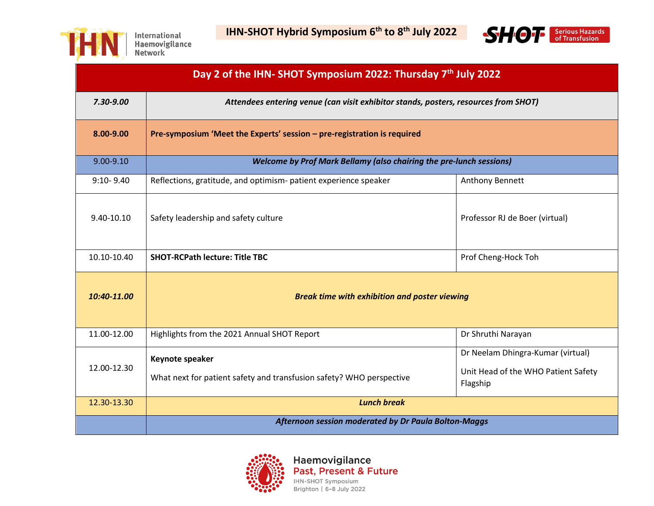



| Day 2 of the IHN-SHOT Symposium 2022: Thursday 7 <sup>th</sup> July 2022 |                                                                                         |                                                                                      |  |
|--------------------------------------------------------------------------|-----------------------------------------------------------------------------------------|--------------------------------------------------------------------------------------|--|
| 7.30-9.00                                                                | Attendees entering venue (can visit exhibitor stands, posters, resources from SHOT)     |                                                                                      |  |
| 8.00-9.00                                                                | Pre-symposium 'Meet the Experts' session - pre-registration is required                 |                                                                                      |  |
| $9.00 - 9.10$                                                            | <b>Welcome by Prof Mark Bellamy (also chairing the pre-lunch sessions)</b>              |                                                                                      |  |
| $9:10 - 9.40$                                                            | Reflections, gratitude, and optimism- patient experience speaker                        | Anthony Bennett                                                                      |  |
| 9.40-10.10                                                               | Safety leadership and safety culture                                                    | Professor RJ de Boer (virtual)                                                       |  |
| 10.10-10.40                                                              | <b>SHOT-RCPath lecture: Title TBC</b>                                                   | Prof Cheng-Hock Toh                                                                  |  |
| 10:40-11.00                                                              | <b>Break time with exhibition and poster viewing</b>                                    |                                                                                      |  |
| 11.00-12.00                                                              | Highlights from the 2021 Annual SHOT Report                                             | Dr Shruthi Narayan                                                                   |  |
| 12.00-12.30                                                              | Keynote speaker<br>What next for patient safety and transfusion safety? WHO perspective | Dr Neelam Dhingra-Kumar (virtual)<br>Unit Head of the WHO Patient Safety<br>Flagship |  |
| 12.30-13.30                                                              | <b>Lunch break</b>                                                                      |                                                                                      |  |
|                                                                          | <b>Afternoon session moderated by Dr Paula Bolton-Maggs</b>                             |                                                                                      |  |

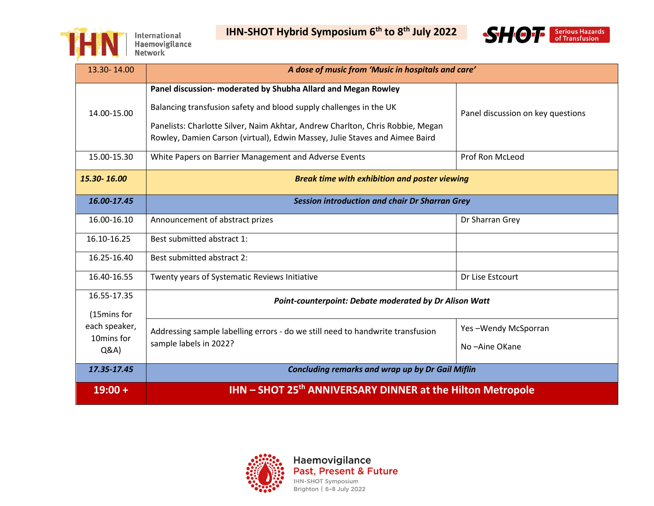



| 13.30-14.00                 | A dose of music from 'Music in hospitals and care'                                                                                                                                                                                                                                                   |                                   |
|-----------------------------|------------------------------------------------------------------------------------------------------------------------------------------------------------------------------------------------------------------------------------------------------------------------------------------------------|-----------------------------------|
| 14.00-15.00                 | Panel discussion- moderated by Shubha Allard and Megan Rowley<br>Balancing transfusion safety and blood supply challenges in the UK<br>Panelists: Charlotte Silver, Naim Akhtar, Andrew Charlton, Chris Robbie, Megan<br>Rowley, Damien Carson (virtual), Edwin Massey, Julie Staves and Aimee Baird | Panel discussion on key questions |
| 15.00-15.30                 | White Papers on Barrier Management and Adverse Events                                                                                                                                                                                                                                                | Prof Ron McLeod                   |
| 15.30-16.00                 | <b>Break time with exhibition and poster viewing</b>                                                                                                                                                                                                                                                 |                                   |
| 16.00-17.45                 | <b>Session introduction and chair Dr Sharran Grey</b>                                                                                                                                                                                                                                                |                                   |
| 16.00-16.10                 | Announcement of abstract prizes                                                                                                                                                                                                                                                                      | Dr Sharran Grey                   |
| 16.10-16.25                 | Best submitted abstract 1:                                                                                                                                                                                                                                                                           |                                   |
| 16.25-16.40                 | Best submitted abstract 2:                                                                                                                                                                                                                                                                           |                                   |
| 16.40-16.55                 | Twenty years of Systematic Reviews Initiative                                                                                                                                                                                                                                                        | Dr Lise Estcourt                  |
| 16.55-17.35                 | Point-counterpoint: Debate moderated by Dr Alison Watt                                                                                                                                                                                                                                               |                                   |
| (15mins for                 |                                                                                                                                                                                                                                                                                                      |                                   |
| each speaker,<br>10mins for | Addressing sample labelling errors - do we still need to handwrite transfusion                                                                                                                                                                                                                       | Yes-Wendy McSporran               |
| Q&A                         | sample labels in 2022?                                                                                                                                                                                                                                                                               | No-Aine OKane                     |
| 17.35-17.45                 | <b>Concluding remarks and wrap up by Dr Gail Miflin</b>                                                                                                                                                                                                                                              |                                   |
| $19:00 +$                   | IHN - SHOT 25 <sup>th</sup> ANNIVERSARY DINNER at the Hilton Metropole                                                                                                                                                                                                                               |                                   |